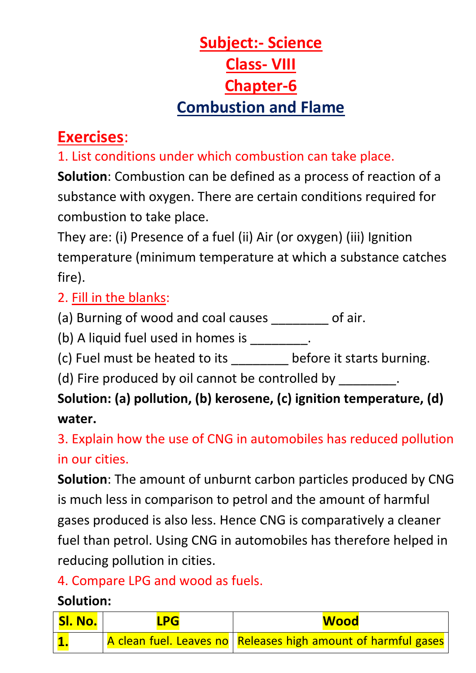# **Subject:- Science Class- VIII Chapter-6 Combustion and Flame**

## **Exercises**:

1. List conditions under which combustion can take place.

**Solution**: Combustion can be defined as a process of reaction of a substance with oxygen. There are certain conditions required for combustion to take place.

They are: (i) Presence of a fuel (ii) Air (or oxygen) (iii) Ignition temperature (minimum temperature at which a substance catches fire).

#### 2. Fill in the blanks:

(a) Burning of wood and coal causes of air.

(b) A liquid fuel used in homes is  $\qquad \qquad$ .

(c) Fuel must be heated to its \_\_\_\_\_\_\_\_ before it starts burning.

(d) Fire produced by oil cannot be controlled by  $\qquad \qquad$ .

## **Solution: (a) pollution, (b) kerosene, (c) ignition temperature, (d) water.**

3. Explain how the use of CNG in automobiles has reduced pollution in our cities.

**Solution**: The amount of unburnt carbon particles produced by CNG is much less in comparison to petrol and the amount of harmful gases produced is also less. Hence CNG is comparatively a cleaner fuel than petrol. Using CNG in automobiles has therefore helped in reducing pollution in cities.

### 4. Compare LPG and wood as fuels.

#### **Solution:**

| SI. No. | <b>LPG</b> | <b>Wood</b>                                                     |
|---------|------------|-----------------------------------------------------------------|
|         |            | A clean fuel. Leaves no   Releases high amount of harmful gases |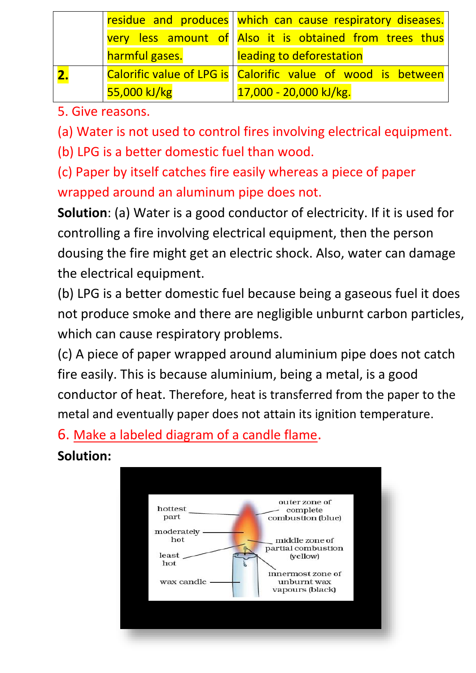|                | residue and produces which can cause respiratory diseases.     |
|----------------|----------------------------------------------------------------|
|                | very less amount of Also it is obtained from trees thus        |
| harmful gases. | leading to deforestation                                       |
|                | Calorific value of LPG is   Calorific value of wood is between |
| 55,000 kJ/kg   | 17,000 - 20,000 kJ/kg.                                         |

5. Give reasons.

(a) Water is not used to control fires involving electrical equipment.

(b) LPG is a better domestic fuel than wood.

(c) Paper by itself catches fire easily whereas a piece of paper wrapped around an aluminum pipe does not.

**Solution**: (a) Water is a good conductor of electricity. If it is used for controlling a fire involving electrical equipment, then the person dousing the fire might get an electric shock. Also, water can damage the electrical equipment.

(b) LPG is a better domestic fuel because being a gaseous fuel it does not produce smoke and there are negligible unburnt carbon particles, which can cause respiratory problems.

(c) A piece of paper wrapped around aluminium pipe does not catch fire easily. This is because aluminium, being a metal, is a good conductor of heat. Therefore, heat is transferred from the paper to the metal and eventually paper does not attain its ignition temperature.

6. Make a labeled diagram of a candle flame.

### **Solution:**

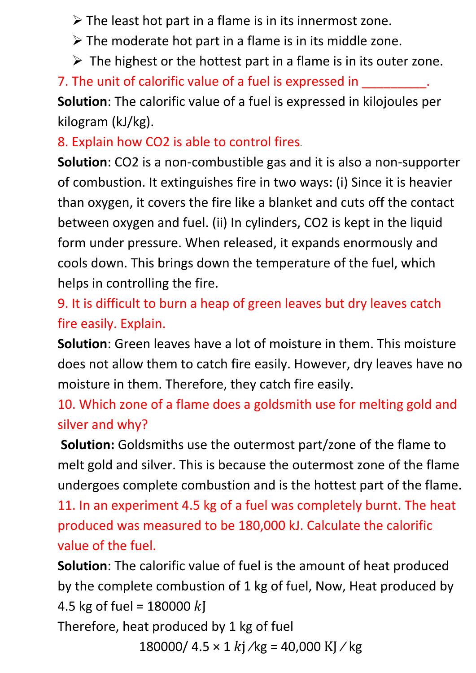$\triangleright$  The least hot part in a flame is in its innermost zone.

- $\triangleright$  The moderate hot part in a flame is in its middle zone.
- $\triangleright$  The highest or the hottest part in a flame is in its outer zone.

7. The unit of calorific value of a fuel is expressed in

**Solution**: The calorific value of a fuel is expressed in kilojoules per kilogram (kJ/kg).

8. Explain how CO2 is able to control fires.

**Solution**: CO2 is a non-combustible gas and it is also a non-supporter of combustion. It extinguishes fire in two ways: (i) Since it is heavier than oxygen, it covers the fire like a blanket and cuts off the contact between oxygen and fuel. (ii) In cylinders, CO2 is kept in the liquid form under pressure. When released, it expands enormously and cools down. This brings down the temperature of the fuel, which helps in controlling the fire.

9. It is difficult to burn a heap of green leaves but dry leaves catch fire easily. Explain.

**Solution**: Green leaves have a lot of moisture in them. This moisture does not allow them to catch fire easily. However, dry leaves have no moisture in them. Therefore, they catch fire easily.

10. Which zone of a flame does a goldsmith use for melting gold and silver and why?

**Solution:** Goldsmiths use the outermost part/zone of the flame to melt gold and silver. This is because the outermost zone of the flame undergoes complete combustion and is the hottest part of the flame.

11. In an experiment 4.5 kg of a fuel was completely burnt. The heat produced was measured to be 180,000 kJ. Calculate the calorific value of the fuel.

**Solution**: The calorific value of fuel is the amount of heat produced by the complete combustion of 1 kg of fuel, Now, Heat produced by 4.5 kg of fuel =  $180000 k$ 

Therefore, heat produced by 1 kg of fuel

180000/  $4.5 \times 1$  kj /kg = 40,000 KJ / kg